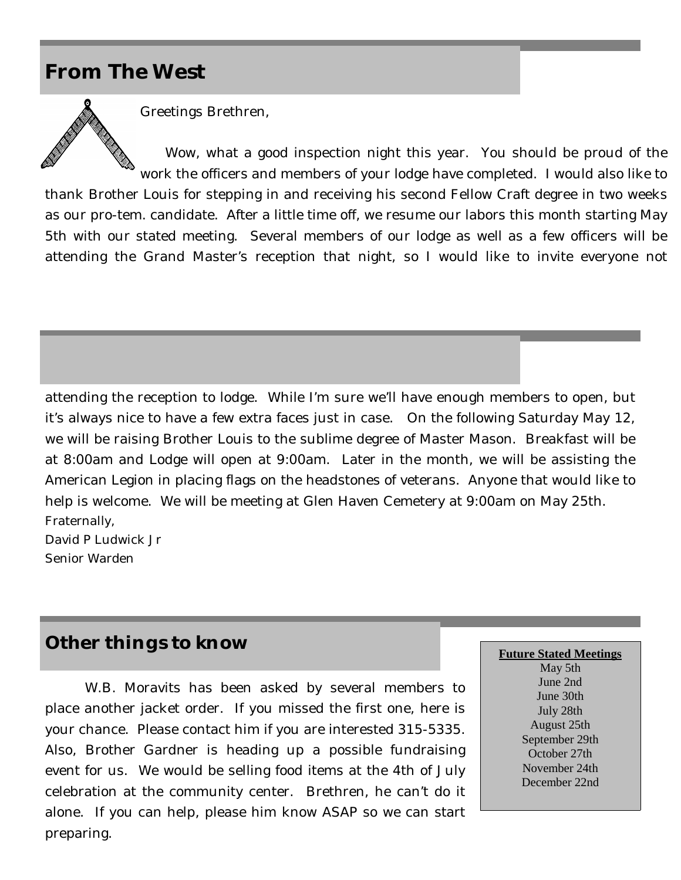## **From The West**



Greetings Brethren,

Wow, what a good inspection night this year. You should be proud of the work the officers and members of your lodge have completed. I would also like to

thank Brother Louis for stepping in and receiving his second Fellow Craft degree in two weeks as our pro-tem. candidate. After a little time off, we resume our labors this month starting May 5th with our stated meeting. Several members of our lodge as well as a few officers will be attending the Grand Master's reception that night, so I would like to invite everyone not

attending the reception to lodge. While I'm sure we'll have enough members to open, but it's always nice to have a few extra faces just in case. On the following Saturday May 12, we will be raising Brother Louis to the sublime degree of Master Mason. Breakfast will be at 8:00am and Lodge will open at 9:00am. Later in the month, we will be assisting the American Legion in placing flags on the headstones of veterans. Anyone that would like to help is welcome. We will be meeting at Glen Haven Cemetery at 9:00am on May 25th. Fraternally,

David P Ludwick Jr Senior Warden

## **Other things to know**

W.B. Moravits has been asked by several members to place another jacket order. If you missed the first one, here is your chance. Please contact him if you are interested 315-5335. Also, Brother Gardner is heading up a possible fundraising event for us. We would be selling food items at the 4th of July celebration at the community center. Brethren, he can't do it alone. If you can help, please him know ASAP so we can start preparing.

**Future Stated Meetings** 

May 5th June 2nd June 30th July 28th August 25th September 29th October 27th November 24th December 22nd